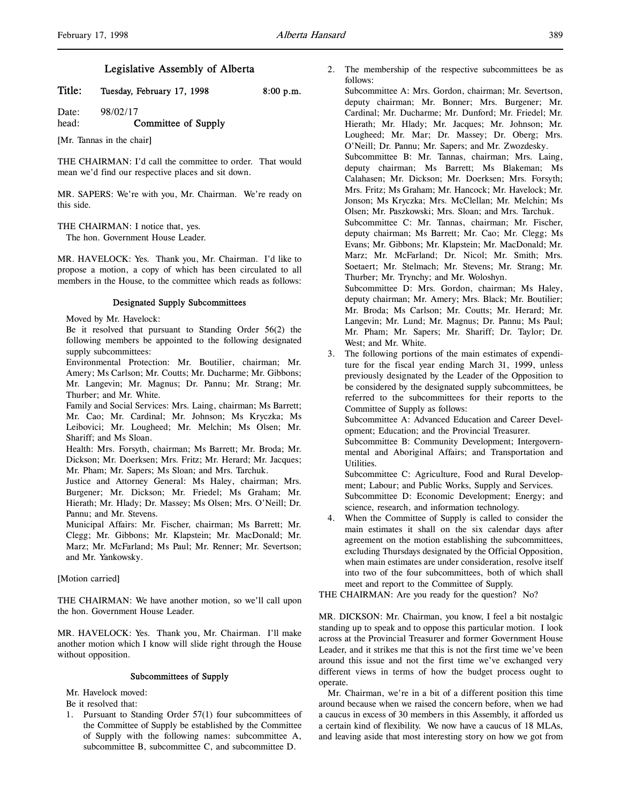# Legislative Assembly of Alberta

Title: Tuesday, February 17, 1998 8:00 p.m.

Date: 98/02/17 head: **Committee of Supply** 

[Mr. Tannas in the chair]

THE CHAIRMAN: I'd call the committee to order. That would mean we'd find our respective places and sit down.

MR. SAPERS: We're with you, Mr. Chairman. We're ready on this side.

THE CHAIRMAN: I notice that, yes.

The hon. Government House Leader.

MR. HAVELOCK: Yes. Thank you, Mr. Chairman. I'd like to propose a motion, a copy of which has been circulated to all members in the House, to the committee which reads as follows:

## Designated Supply Subcommittees

Moved by Mr. Havelock:

Be it resolved that pursuant to Standing Order 56(2) the following members be appointed to the following designated supply subcommittees:

Environmental Protection: Mr. Boutilier, chairman; Mr. Amery; Ms Carlson; Mr. Coutts; Mr. Ducharme; Mr. Gibbons; Mr. Langevin; Mr. Magnus; Dr. Pannu; Mr. Strang; Mr. Thurber; and Mr. White.

Family and Social Services: Mrs. Laing, chairman; Ms Barrett; Mr. Cao; Mr. Cardinal; Mr. Johnson; Ms Kryczka; Ms Leibovici; Mr. Lougheed; Mr. Melchin; Ms Olsen; Mr. Shariff; and Ms Sloan.

Health: Mrs. Forsyth, chairman; Ms Barrett; Mr. Broda; Mr. Dickson; Mr. Doerksen; Mrs. Fritz; Mr. Herard; Mr. Jacques; Mr. Pham; Mr. Sapers; Ms Sloan; and Mrs. Tarchuk.

Justice and Attorney General: Ms Haley, chairman; Mrs. Burgener; Mr. Dickson; Mr. Friedel; Ms Graham; Mr. Hierath; Mr. Hlady; Dr. Massey; Ms Olsen; Mrs. O'Neill; Dr. Pannu; and Mr. Stevens.

Municipal Affairs: Mr. Fischer, chairman; Ms Barrett; Mr. Clegg; Mr. Gibbons; Mr. Klapstein; Mr. MacDonald; Mr. Marz; Mr. McFarland; Ms Paul; Mr. Renner; Mr. Severtson; and Mr. Yankowsky.

# [Motion carried]

THE CHAIRMAN: We have another motion, so we'll call upon the hon. Government House Leader.

MR. HAVELOCK: Yes. Thank you, Mr. Chairman. I'll make another motion which I know will slide right through the House without opposition.

#### Subcommittees of Supply

Mr. Havelock moved:

Be it resolved that:

1. Pursuant to Standing Order 57(1) four subcommittees of the Committee of Supply be established by the Committee of Supply with the following names: subcommittee A, subcommittee B, subcommittee C, and subcommittee D.

2. The membership of the respective subcommittees be as follows:

Subcommittee A: Mrs. Gordon, chairman; Mr. Severtson, deputy chairman; Mr. Bonner; Mrs. Burgener; Mr. Cardinal; Mr. Ducharme; Mr. Dunford; Mr. Friedel; Mr. Hierath; Mr. Hlady; Mr. Jacques; Mr. Johnson; Mr. Lougheed; Mr. Mar; Dr. Massey; Dr. Oberg; Mrs. O'Neill; Dr. Pannu; Mr. Sapers; and Mr. Zwozdesky.

Subcommittee B: Mr. Tannas, chairman; Mrs. Laing, deputy chairman; Ms Barrett; Ms Blakeman; Ms Calahasen; Mr. Dickson; Mr. Doerksen; Mrs. Forsyth; Mrs. Fritz; Ms Graham; Mr. Hancock; Mr. Havelock; Mr. Jonson; Ms Kryczka; Mrs. McClellan; Mr. Melchin; Ms Olsen; Mr. Paszkowski; Mrs. Sloan; and Mrs. Tarchuk.

Subcommittee C: Mr. Tannas, chairman; Mr. Fischer, deputy chairman; Ms Barrett; Mr. Cao; Mr. Clegg; Ms Evans; Mr. Gibbons; Mr. Klapstein; Mr. MacDonald; Mr. Marz; Mr. McFarland; Dr. Nicol; Mr. Smith; Mrs. Soetaert; Mr. Stelmach; Mr. Stevens; Mr. Strang; Mr. Thurber; Mr. Trynchy; and Mr. Woloshyn.

Subcommittee D: Mrs. Gordon, chairman; Ms Haley, deputy chairman; Mr. Amery; Mrs. Black; Mr. Boutilier; Mr. Broda; Ms Carlson; Mr. Coutts; Mr. Herard; Mr. Langevin; Mr. Lund; Mr. Magnus; Dr. Pannu; Ms Paul; Mr. Pham; Mr. Sapers; Mr. Shariff; Dr. Taylor; Dr. West; and Mr. White.

3. The following portions of the main estimates of expenditure for the fiscal year ending March 31, 1999, unless previously designated by the Leader of the Opposition to be considered by the designated supply subcommittees, be referred to the subcommittees for their reports to the Committee of Supply as follows:

Subcommittee A: Advanced Education and Career Development; Education; and the Provincial Treasurer.

Subcommittee B: Community Development; Intergovernmental and Aboriginal Affairs; and Transportation and Utilities.

Subcommittee C: Agriculture, Food and Rural Development; Labour; and Public Works, Supply and Services. Subcommittee D: Economic Development; Energy; and science, research, and information technology.

When the Committee of Supply is called to consider the main estimates it shall on the six calendar days after agreement on the motion establishing the subcommittees, excluding Thursdays designated by the Official Opposition, when main estimates are under consideration, resolve itself into two of the four subcommittees, both of which shall meet and report to the Committee of Supply.

THE CHAIRMAN: Are you ready for the question? No?

MR. DICKSON: Mr. Chairman, you know, I feel a bit nostalgic standing up to speak and to oppose this particular motion. I look across at the Provincial Treasurer and former Government House Leader, and it strikes me that this is not the first time we've been around this issue and not the first time we've exchanged very different views in terms of how the budget process ought to operate.

Mr. Chairman, we're in a bit of a different position this time around because when we raised the concern before, when we had a caucus in excess of 30 members in this Assembly, it afforded us a certain kind of flexibility. We now have a caucus of 18 MLAs, and leaving aside that most interesting story on how we got from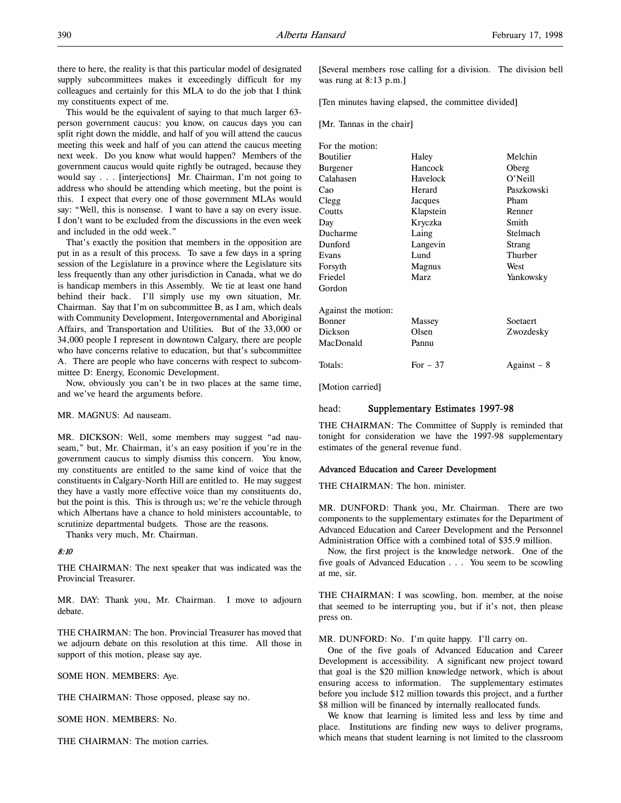there to here, the reality is that this particular model of designated supply subcommittees makes it exceedingly difficult for my colleagues and certainly for this MLA to do the job that I think my constituents expect of me.

This would be the equivalent of saying to that much larger 63 person government caucus: you know, on caucus days you can split right down the middle, and half of you will attend the caucus meeting this week and half of you can attend the caucus meeting next week. Do you know what would happen? Members of the government caucus would quite rightly be outraged, because they would say . . . [interjections] Mr. Chairman, I'm not going to address who should be attending which meeting, but the point is this. I expect that every one of those government MLAs would say: "Well, this is nonsense. I want to have a say on every issue. I don't want to be excluded from the discussions in the even week and included in the odd week."

That's exactly the position that members in the opposition are put in as a result of this process. To save a few days in a spring session of the Legislature in a province where the Legislature sits less frequently than any other jurisdiction in Canada, what we do is handicap members in this Assembly. We tie at least one hand behind their back. I'll simply use my own situation, Mr. Chairman. Say that I'm on subcommittee B, as I am, which deals with Community Development, Intergovernmental and Aboriginal Affairs, and Transportation and Utilities. But of the 33,000 or 34,000 people I represent in downtown Calgary, there are people who have concerns relative to education, but that's subcommittee A. There are people who have concerns with respect to subcommittee D: Energy, Economic Development.

Now, obviously you can't be in two places at the same time, and we've heard the arguments before.

### MR. MAGNUS: Ad nauseam.

MR. DICKSON: Well, some members may suggest "ad nauseam," but, Mr. Chairman, it's an easy position if you're in the government caucus to simply dismiss this concern. You know, my constituents are entitled to the same kind of voice that the constituents in Calgary-North Hill are entitled to. He may suggest they have a vastly more effective voice than my constituents do, but the point is this. This is through us; we're the vehicle through which Albertans have a chance to hold ministers accountable, to scrutinize departmental budgets. Those are the reasons.

Thanks very much, Mr. Chairman.

# 8:10

THE CHAIRMAN: The next speaker that was indicated was the Provincial Treasurer.

MR. DAY: Thank you, Mr. Chairman. I move to adjourn debate.

THE CHAIRMAN: The hon. Provincial Treasurer has moved that we adjourn debate on this resolution at this time. All those in support of this motion, please say aye.

SOME HON. MEMBERS: Aye.

THE CHAIRMAN: Those opposed, please say no.

SOME HON. MEMBERS: No.

THE CHAIRMAN: The motion carries.

[Several members rose calling for a division. The division bell was rung at 8:13 p.m.]

[Ten minutes having elapsed, the committee divided]

[Mr. Tannas in the chair]

| For the motion:     |           |             |
|---------------------|-----------|-------------|
| Boutilier           | Haley     | Melchin     |
| Burgener            | Hancock   | Oberg       |
| Calahasen           | Havelock  | O'Neill     |
| Cao                 | Herard    | Paszkowski  |
| Clegg               | Jacques   | Pham        |
| Coutts              | Klapstein | Renner      |
| Day                 | Kryczka   | Smith       |
| Ducharme            | Laing     | Stelmach    |
| Dunford             | Langevin  | Strang      |
| Evans               | Lund      | Thurber     |
| Forsyth             | Magnus    | West        |
| Friedel             | Marz      | Yankowsky   |
| Gordon              |           |             |
| Against the motion: |           |             |
| Bonner              | Massey    | Soetaert    |
| Dickson             | Olsen     | Zwozdesky   |
| MacDonald           | Pannu     |             |
| Totals:             | For $-37$ | Against – 8 |
|                     |           |             |

[Motion carried]

#### head: Supplementary Estimates 1997-98

THE CHAIRMAN: The Committee of Supply is reminded that tonight for consideration we have the 1997-98 supplementary estimates of the general revenue fund.

### Advanced Education and Career Development

THE CHAIRMAN: The hon. minister.

MR. DUNFORD: Thank you, Mr. Chairman. There are two components to the supplementary estimates for the Department of Advanced Education and Career Development and the Personnel Administration Office with a combined total of \$35.9 million.

Now, the first project is the knowledge network. One of the five goals of Advanced Education . . . You seem to be scowling at me, sir.

THE CHAIRMAN: I was scowling, hon. member, at the noise that seemed to be interrupting you, but if it's not, then please press on.

MR. DUNFORD: No. I'm quite happy. I'll carry on.

One of the five goals of Advanced Education and Career Development is accessibility. A significant new project toward that goal is the \$20 million knowledge network, which is about ensuring access to information. The supplementary estimates before you include \$12 million towards this project, and a further \$8 million will be financed by internally reallocated funds.

We know that learning is limited less and less by time and place. Institutions are finding new ways to deliver programs, which means that student learning is not limited to the classroom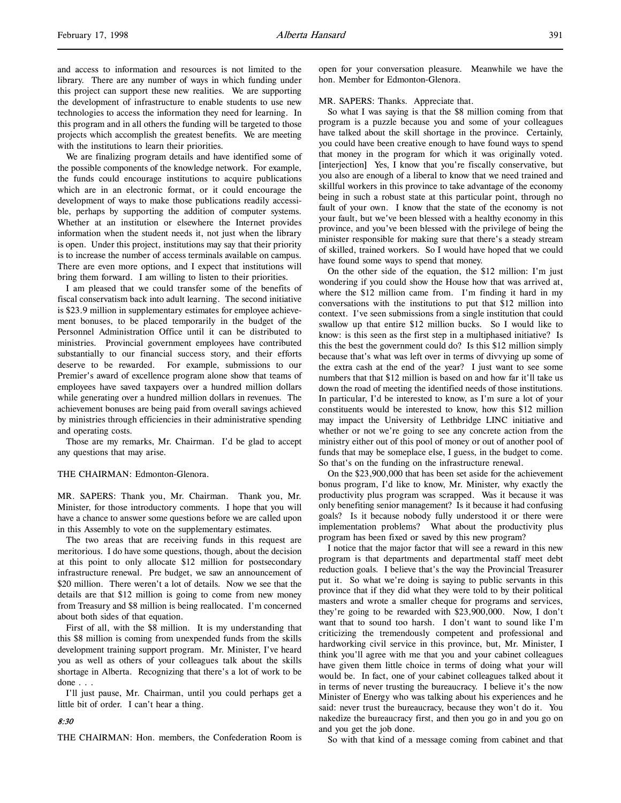and access to information and resources is not limited to the library. There are any number of ways in which funding under this project can support these new realities. We are supporting the development of infrastructure to enable students to use new technologies to access the information they need for learning. In this program and in all others the funding will be targeted to those projects which accomplish the greatest benefits. We are meeting with the institutions to learn their priorities.

We are finalizing program details and have identified some of the possible components of the knowledge network. For example, the funds could encourage institutions to acquire publications which are in an electronic format, or it could encourage the development of ways to make those publications readily accessible, perhaps by supporting the addition of computer systems. Whether at an institution or elsewhere the Internet provides information when the student needs it, not just when the library is open. Under this project, institutions may say that their priority is to increase the number of access terminals available on campus. There are even more options, and I expect that institutions will bring them forward. I am willing to listen to their priorities.

I am pleased that we could transfer some of the benefits of fiscal conservatism back into adult learning. The second initiative is \$23.9 million in supplementary estimates for employee achievement bonuses, to be placed temporarily in the budget of the Personnel Administration Office until it can be distributed to ministries. Provincial government employees have contributed substantially to our financial success story, and their efforts deserve to be rewarded. For example, submissions to our Premier's award of excellence program alone show that teams of employees have saved taxpayers over a hundred million dollars while generating over a hundred million dollars in revenues. The achievement bonuses are being paid from overall savings achieved by ministries through efficiencies in their administrative spending and operating costs.

Those are my remarks, Mr. Chairman. I'd be glad to accept any questions that may arise.

# THE CHAIRMAN: Edmonton-Glenora.

MR. SAPERS: Thank you, Mr. Chairman. Thank you, Mr. Minister, for those introductory comments. I hope that you will have a chance to answer some questions before we are called upon in this Assembly to vote on the supplementary estimates.

The two areas that are receiving funds in this request are meritorious. I do have some questions, though, about the decision at this point to only allocate \$12 million for postsecondary infrastructure renewal. Pre budget, we saw an announcement of \$20 million. There weren't a lot of details. Now we see that the details are that \$12 million is going to come from new money from Treasury and \$8 million is being reallocated. I'm concerned about both sides of that equation.

First of all, with the \$8 million. It is my understanding that this \$8 million is coming from unexpended funds from the skills development training support program. Mr. Minister, I've heard you as well as others of your colleagues talk about the skills shortage in Alberta. Recognizing that there's a lot of work to be done . . .

I'll just pause, Mr. Chairman, until you could perhaps get a little bit of order. I can't hear a thing.

# open for your conversation pleasure. Meanwhile we have the hon. Member for Edmonton-Glenora.

MR. SAPERS: Thanks. Appreciate that.

So what I was saying is that the \$8 million coming from that program is a puzzle because you and some of your colleagues have talked about the skill shortage in the province. Certainly, you could have been creative enough to have found ways to spend that money in the program for which it was originally voted. [interjection] Yes, I know that you're fiscally conservative, but you also are enough of a liberal to know that we need trained and skillful workers in this province to take advantage of the economy being in such a robust state at this particular point, through no fault of your own. I know that the state of the economy is not your fault, but we've been blessed with a healthy economy in this province, and you've been blessed with the privilege of being the minister responsible for making sure that there's a steady stream of skilled, trained workers. So I would have hoped that we could have found some ways to spend that money.

On the other side of the equation, the \$12 million: I'm just wondering if you could show the House how that was arrived at, where the \$12 million came from. I'm finding it hard in my conversations with the institutions to put that \$12 million into context. I've seen submissions from a single institution that could swallow up that entire \$12 million bucks. So I would like to know: is this seen as the first step in a multiphased initiative? Is this the best the government could do? Is this \$12 million simply because that's what was left over in terms of divvying up some of the extra cash at the end of the year? I just want to see some numbers that that \$12 million is based on and how far it'll take us down the road of meeting the identified needs of those institutions. In particular, I'd be interested to know, as I'm sure a lot of your constituents would be interested to know, how this \$12 million may impact the University of Lethbridge LINC initiative and whether or not we're going to see any concrete action from the ministry either out of this pool of money or out of another pool of funds that may be someplace else, I guess, in the budget to come. So that's on the funding on the infrastructure renewal.

On the \$23,900,000 that has been set aside for the achievement bonus program, I'd like to know, Mr. Minister, why exactly the productivity plus program was scrapped. Was it because it was only benefiting senior management? Is it because it had confusing goals? Is it because nobody fully understood it or there were implementation problems? What about the productivity plus program has been fixed or saved by this new program?

I notice that the major factor that will see a reward in this new program is that departments and departmental staff meet debt reduction goals. I believe that's the way the Provincial Treasurer put it. So what we're doing is saying to public servants in this province that if they did what they were told to by their political masters and wrote a smaller cheque for programs and services, they're going to be rewarded with \$23,900,000. Now, I don't want that to sound too harsh. I don't want to sound like I'm criticizing the tremendously competent and professional and hardworking civil service in this province, but, Mr. Minister, I think you'll agree with me that you and your cabinet colleagues have given them little choice in terms of doing what your will would be. In fact, one of your cabinet colleagues talked about it in terms of never trusting the bureaucracy. I believe it's the now Minister of Energy who was talking about his experiences and he said: never trust the bureaucracy, because they won't do it. You nakedize the bureaucracy first, and then you go in and you go on and you get the job done.

So with that kind of a message coming from cabinet and that

# 8:30

THE CHAIRMAN: Hon. members, the Confederation Room is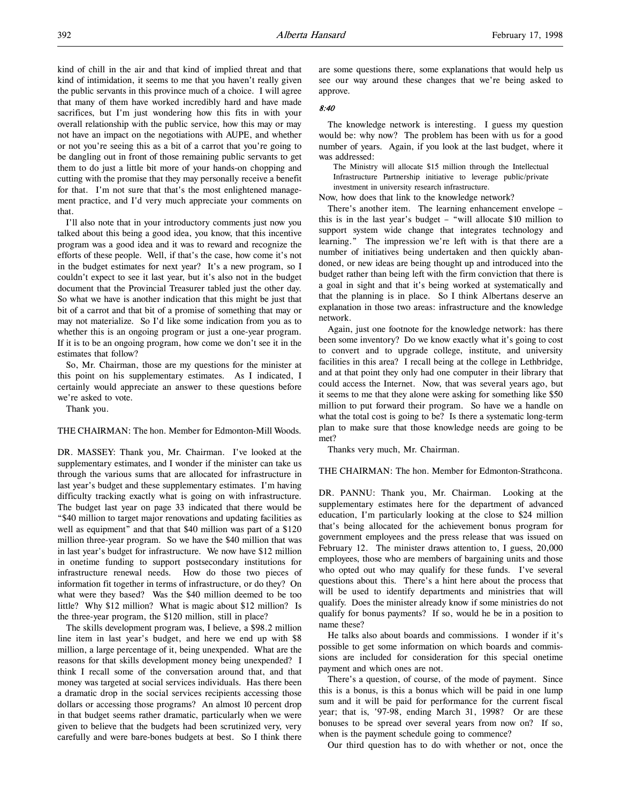kind of chill in the air and that kind of implied threat and that kind of intimidation, it seems to me that you haven't really given the public servants in this province much of a choice. I will agree that many of them have worked incredibly hard and have made sacrifices, but I'm just wondering how this fits in with your overall relationship with the public service, how this may or may not have an impact on the negotiations with AUPE, and whether or not you're seeing this as a bit of a carrot that you're going to be dangling out in front of those remaining public servants to get them to do just a little bit more of your hands-on chopping and cutting with the promise that they may personally receive a benefit for that. I'm not sure that that's the most enlightened management practice, and I'd very much appreciate your comments on that.

I'll also note that in your introductory comments just now you talked about this being a good idea, you know, that this incentive program was a good idea and it was to reward and recognize the efforts of these people. Well, if that's the case, how come it's not in the budget estimates for next year? It's a new program, so I couldn't expect to see it last year, but it's also not in the budget document that the Provincial Treasurer tabled just the other day. So what we have is another indication that this might be just that bit of a carrot and that bit of a promise of something that may or may not materialize. So I'd like some indication from you as to whether this is an ongoing program or just a one-year program. If it is to be an ongoing program, how come we don't see it in the estimates that follow?

So, Mr. Chairman, those are my questions for the minister at this point on his supplementary estimates. As I indicated, I certainly would appreciate an answer to these questions before we're asked to vote.

Thank you.

THE CHAIRMAN: The hon. Member for Edmonton-Mill Woods.

DR. MASSEY: Thank you, Mr. Chairman. I've looked at the supplementary estimates, and I wonder if the minister can take us through the various sums that are allocated for infrastructure in last year's budget and these supplementary estimates. I'm having difficulty tracking exactly what is going on with infrastructure. The budget last year on page 33 indicated that there would be "\$40 million to target major renovations and updating facilities as well as equipment" and that that \$40 million was part of a \$120 million three-year program. So we have the \$40 million that was in last year's budget for infrastructure. We now have \$12 million in onetime funding to support postsecondary institutions for infrastructure renewal needs. How do those two pieces of information fit together in terms of infrastructure, or do they? On what were they based? Was the \$40 million deemed to be too little? Why \$12 million? What is magic about \$12 million? Is the three-year program, the \$120 million, still in place?

The skills development program was, I believe, a \$98.2 million line item in last year's budget, and here we end up with \$8 million, a large percentage of it, being unexpended. What are the reasons for that skills development money being unexpended? I think I recall some of the conversation around that, and that money was targeted at social services individuals. Has there been a dramatic drop in the social services recipients accessing those dollars or accessing those programs? An almost 10 percent drop in that budget seems rather dramatic, particularly when we were given to believe that the budgets had been scrutinized very, very carefully and were bare-bones budgets at best. So I think there

are some questions there, some explanations that would help us see our way around these changes that we're being asked to approve.

### 8:40

The knowledge network is interesting. I guess my question would be: why now? The problem has been with us for a good number of years. Again, if you look at the last budget, where it was addressed:

The Ministry will allocate \$15 million through the Intellectual Infrastructure Partnership initiative to leverage public/private investment in university research infrastructure.

Now, how does that link to the knowledge network?

There's another item. The learning enhancement envelope – this is in the last year's budget – "will allocate \$10 million to support system wide change that integrates technology and learning." The impression we're left with is that there are a number of initiatives being undertaken and then quickly abandoned, or new ideas are being thought up and introduced into the budget rather than being left with the firm conviction that there is a goal in sight and that it's being worked at systematically and that the planning is in place. So I think Albertans deserve an explanation in those two areas: infrastructure and the knowledge network.

Again, just one footnote for the knowledge network: has there been some inventory? Do we know exactly what it's going to cost to convert and to upgrade college, institute, and university facilities in this area? I recall being at the college in Lethbridge, and at that point they only had one computer in their library that could access the Internet. Now, that was several years ago, but it seems to me that they alone were asking for something like \$50 million to put forward their program. So have we a handle on what the total cost is going to be? Is there a systematic long-term plan to make sure that those knowledge needs are going to be met?

Thanks very much, Mr. Chairman.

THE CHAIRMAN: The hon. Member for Edmonton-Strathcona.

DR. PANNU: Thank you, Mr. Chairman. Looking at the supplementary estimates here for the department of advanced education, I'm particularly looking at the close to \$24 million that's being allocated for the achievement bonus program for government employees and the press release that was issued on February 12. The minister draws attention to, I guess, 20,000 employees, those who are members of bargaining units and those who opted out who may qualify for these funds. I've several questions about this. There's a hint here about the process that will be used to identify departments and ministries that will qualify. Does the minister already know if some ministries do not qualify for bonus payments? If so, would he be in a position to name these?

He talks also about boards and commissions. I wonder if it's possible to get some information on which boards and commissions are included for consideration for this special onetime payment and which ones are not.

There's a question, of course, of the mode of payment. Since this is a bonus, is this a bonus which will be paid in one lump sum and it will be paid for performance for the current fiscal year; that is, '97-98, ending March 31, 1998? Or are these bonuses to be spread over several years from now on? If so, when is the payment schedule going to commence?

Our third question has to do with whether or not, once the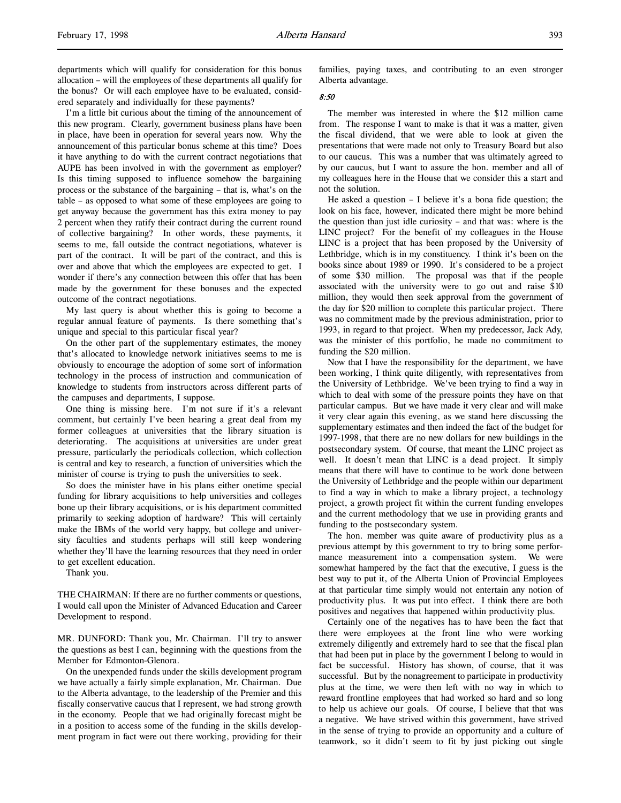ered separately and individually for these payments? I'm a little bit curious about the timing of the announcement of this new program. Clearly, government business plans have been in place, have been in operation for several years now. Why the announcement of this particular bonus scheme at this time? Does it have anything to do with the current contract negotiations that AUPE has been involved in with the government as employer? Is this timing supposed to influence somehow the bargaining process or the substance of the bargaining – that is, what's on the table – as opposed to what some of these employees are going to get anyway because the government has this extra money to pay 2 percent when they ratify their contract during the current round of collective bargaining? In other words, these payments, it seems to me, fall outside the contract negotiations, whatever is part of the contract. It will be part of the contract, and this is over and above that which the employees are expected to get. I wonder if there's any connection between this offer that has been made by the government for these bonuses and the expected outcome of the contract negotiations.

the bonus? Or will each employee have to be evaluated, consid-

My last query is about whether this is going to become a regular annual feature of payments. Is there something that's unique and special to this particular fiscal year?

On the other part of the supplementary estimates, the money that's allocated to knowledge network initiatives seems to me is obviously to encourage the adoption of some sort of information technology in the process of instruction and communication of knowledge to students from instructors across different parts of the campuses and departments, I suppose.

One thing is missing here. I'm not sure if it's a relevant comment, but certainly I've been hearing a great deal from my former colleagues at universities that the library situation is deteriorating. The acquisitions at universities are under great pressure, particularly the periodicals collection, which collection is central and key to research, a function of universities which the minister of course is trying to push the universities to seek.

So does the minister have in his plans either onetime special funding for library acquisitions to help universities and colleges bone up their library acquisitions, or is his department committed primarily to seeking adoption of hardware? This will certainly make the IBMs of the world very happy, but college and university faculties and students perhaps will still keep wondering whether they'll have the learning resources that they need in order to get excellent education.

Thank you.

THE CHAIRMAN: If there are no further comments or questions, I would call upon the Minister of Advanced Education and Career Development to respond.

MR. DUNFORD: Thank you, Mr. Chairman. I'll try to answer the questions as best I can, beginning with the questions from the Member for Edmonton-Glenora.

On the unexpended funds under the skills development program we have actually a fairly simple explanation, Mr. Chairman. Due to the Alberta advantage, to the leadership of the Premier and this fiscally conservative caucus that I represent, we had strong growth in the economy. People that we had originally forecast might be in a position to access some of the funding in the skills development program in fact were out there working, providing for their families, paying taxes, and contributing to an even stronger Alberta advantage.

# 8:50

The member was interested in where the \$12 million came from. The response I want to make is that it was a matter, given the fiscal dividend, that we were able to look at given the presentations that were made not only to Treasury Board but also to our caucus. This was a number that was ultimately agreed to by our caucus, but I want to assure the hon. member and all of my colleagues here in the House that we consider this a start and not the solution.

He asked a question – I believe it's a bona fide question; the look on his face, however, indicated there might be more behind the question than just idle curiosity – and that was: where is the LINC project? For the benefit of my colleagues in the House LINC is a project that has been proposed by the University of Lethbridge, which is in my constituency. I think it's been on the books since about 1989 or 1990. It's considered to be a project of some \$30 million. The proposal was that if the people associated with the university were to go out and raise \$10 million, they would then seek approval from the government of the day for \$20 million to complete this particular project. There was no commitment made by the previous administration, prior to 1993, in regard to that project. When my predecessor, Jack Ady, was the minister of this portfolio, he made no commitment to funding the \$20 million.

Now that I have the responsibility for the department, we have been working, I think quite diligently, with representatives from the University of Lethbridge. We've been trying to find a way in which to deal with some of the pressure points they have on that particular campus. But we have made it very clear and will make it very clear again this evening, as we stand here discussing the supplementary estimates and then indeed the fact of the budget for 1997-1998, that there are no new dollars for new buildings in the postsecondary system. Of course, that meant the LINC project as well. It doesn't mean that LINC is a dead project. It simply means that there will have to continue to be work done between the University of Lethbridge and the people within our department to find a way in which to make a library project, a technology project, a growth project fit within the current funding envelopes and the current methodology that we use in providing grants and funding to the postsecondary system.

The hon. member was quite aware of productivity plus as a previous attempt by this government to try to bring some performance measurement into a compensation system. We were somewhat hampered by the fact that the executive, I guess is the best way to put it, of the Alberta Union of Provincial Employees at that particular time simply would not entertain any notion of productivity plus. It was put into effect. I think there are both positives and negatives that happened within productivity plus.

Certainly one of the negatives has to have been the fact that there were employees at the front line who were working extremely diligently and extremely hard to see that the fiscal plan that had been put in place by the government I belong to would in fact be successful. History has shown, of course, that it was successful. But by the nonagreement to participate in productivity plus at the time, we were then left with no way in which to reward frontline employees that had worked so hard and so long to help us achieve our goals. Of course, I believe that that was a negative. We have strived within this government, have strived in the sense of trying to provide an opportunity and a culture of teamwork, so it didn't seem to fit by just picking out single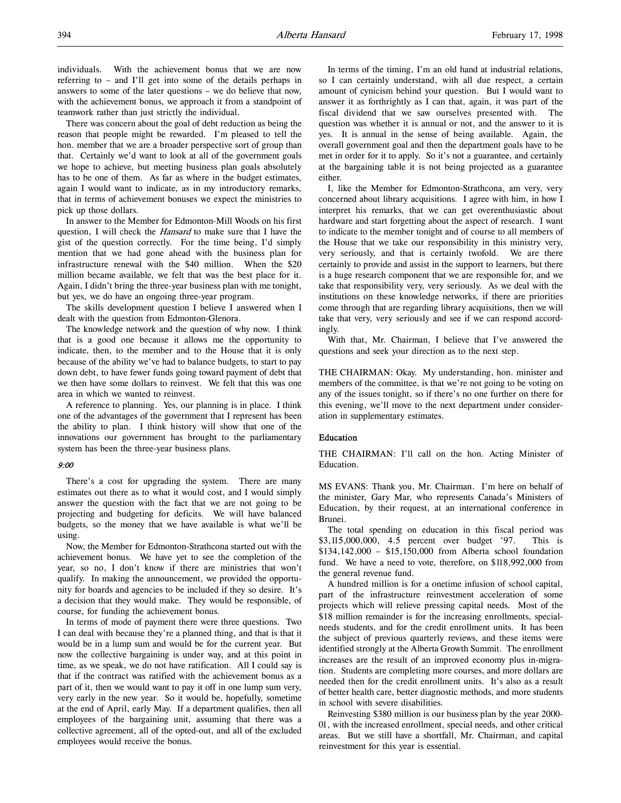There was concern about the goal of debt reduction as being the reason that people might be rewarded. I'm pleased to tell the hon. member that we are a broader perspective sort of group than that. Certainly we'd want to look at all of the government goals we hope to achieve, but meeting business plan goals absolutely has to be one of them. As far as where in the budget estimates, again I would want to indicate, as in my introductory remarks, that in terms of achievement bonuses we expect the ministries to pick up those dollars.

In answer to the Member for Edmonton-Mill Woods on his first question, I will check the *Hansard* to make sure that I have the gist of the question correctly. For the time being, I'd simply mention that we had gone ahead with the business plan for infrastructure renewal with the \$40 million. When the \$20 million became available, we felt that was the best place for it. Again, I didn't bring the three-year business plan with me tonight, but yes, we do have an ongoing three-year program.

The skills development question I believe I answered when I dealt with the question from Edmonton-Glenora.

The knowledge network and the question of why now. I think that is a good one because it allows me the opportunity to indicate, then, to the member and to the House that it is only because of the ability we've had to balance budgets, to start to pay down debt, to have fewer funds going toward payment of debt that we then have some dollars to reinvest. We felt that this was one area in which we wanted to reinvest.

A reference to planning. Yes, our planning is in place. I think one of the advantages of the government that I represent has been the ability to plan. I think history will show that one of the innovations our government has brought to the parliamentary system has been the three-year business plans.

### 9:00

There's a cost for upgrading the system. There are many estimates out there as to what it would cost, and I would simply answer the question with the fact that we are not going to be projecting and budgeting for deficits. We will have balanced budgets, so the money that we have available is what we'll be using.

Now, the Member for Edmonton-Strathcona started out with the achievement bonus. We have yet to see the completion of the year, so no, I don't know if there are ministries that won't qualify. In making the announcement, we provided the opportunity for boards and agencies to be included if they so desire. It's a decision that they would make. They would be responsible, of course, for funding the achievement bonus.

In terms of mode of payment there were three questions. Two I can deal with because they're a planned thing, and that is that it would be in a lump sum and would be for the current year. But now the collective bargaining is under way, and at this point in time, as we speak, we do not have ratification. All I could say is that if the contract was ratified with the achievement bonus as a part of it, then we would want to pay it off in one lump sum very, very early in the new year. So it would be, hopefully, sometime at the end of April, early May. If a department qualifies, then all employees of the bargaining unit, assuming that there was a collective agreement, all of the opted-out, and all of the excluded employees would receive the bonus.

In terms of the timing, I'm an old hand at industrial relations, so I can certainly understand, with all due respect, a certain amount of cynicism behind your question. But I would want to answer it as forthrightly as I can that, again, it was part of the fiscal dividend that we saw ourselves presented with. The question was whether it is annual or not, and the answer to it is yes. It is annual in the sense of being available. Again, the overall government goal and then the department goals have to be met in order for it to apply. So it's not a guarantee, and certainly at the bargaining table it is not being projected as a guarantee either.

I, like the Member for Edmonton-Strathcona, am very, very concerned about library acquisitions. I agree with him, in how I interpret his remarks, that we can get overenthusiastic about hardware and start forgetting about the aspect of research. I want to indicate to the member tonight and of course to all members of the House that we take our responsibility in this ministry very, very seriously, and that is certainly twofold. We are there certainly to provide and assist in the support to learners, but there is a huge research component that we are responsible for, and we take that responsibility very, very seriously. As we deal with the institutions on these knowledge networks, if there are priorities come through that are regarding library acquisitions, then we will take that very, very seriously and see if we can respond accordingly.

With that, Mr. Chairman, I believe that I've answered the questions and seek your direction as to the next step.

THE CHAIRMAN: Okay. My understanding, hon. minister and members of the committee, is that we're not going to be voting on any of the issues tonight, so if there's no one further on there for this evening, we'll move to the next department under consideration in supplementary estimates.

### Education

THE CHAIRMAN: I'll call on the hon. Acting Minister of Education.

MS EVANS: Thank you, Mr. Chairman. I'm here on behalf of the minister, Gary Mar, who represents Canada's Ministers of Education, by their request, at an international conference in Brunei.

The total spending on education in this fiscal period was \$3,115,000,000, 4.5 percent over budget '97. This is \$134,142,000 – \$15,150,000 from Alberta school foundation fund. We have a need to vote, therefore, on \$118,992,000 from the general revenue fund.

A hundred million is for a onetime infusion of school capital, part of the infrastructure reinvestment acceleration of some projects which will relieve pressing capital needs. Most of the \$18 million remainder is for the increasing enrollments, specialneeds students, and for the credit enrollment units. It has been the subject of previous quarterly reviews, and these items were identified strongly at the Alberta Growth Summit. The enrollment increases are the result of an improved economy plus in-migration. Students are completing more courses, and more dollars are needed then for the credit enrollment units. It's also as a result of better health care, better diagnostic methods, and more students in school with severe disabilities.

Reinvesting \$380 million is our business plan by the year 2000- 01, with the increased enrollment, special needs, and other critical areas. But we still have a shortfall, Mr. Chairman, and capital reinvestment for this year is essential.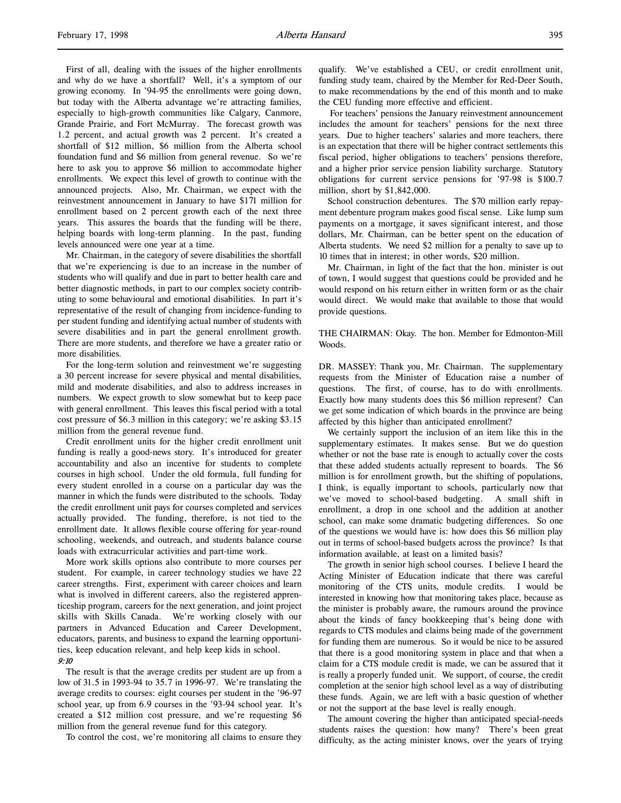First of all, dealing with the issues of the higher enrollments and why do we have a shortfall? Well, it's a symptom of our growing economy. In '94-95 the enrollments were going down, but today with the Alberta advantage we're attracting families, especially to high-growth communities like Calgary, Canmore, Grande Prairie, and Fort McMurray. The forecast growth was 1.2 percent, and actual growth was 2 percent. It's created a shortfall of \$12 million, \$6 million from the Alberta school foundation fund and \$6 million from general revenue. So we're here to ask you to approve \$6 million to accommodate higher enrollments. We expect this level of growth to continue with the announced projects. Also, Mr. Chairman, we expect with the reinvestment announcement in January to have \$171 million for enrollment based on 2 percent growth each of the next three years. This assures the boards that the funding will be there, helping boards with long-term planning. In the past, funding levels announced were one year at a time.

Mr. Chairman, in the category of severe disabilities the shortfall that we're experiencing is due to an increase in the number of students who will qualify and due in part to better health care and better diagnostic methods, in part to our complex society contributing to some behavioural and emotional disabilities. In part it's representative of the result of changing from incidence-funding to per student funding and identifying actual number of students with severe disabilities and in part the general enrollment growth. There are more students, and therefore we have a greater ratio or more disabilities.

For the long-term solution and reinvestment we're suggesting a 30 percent increase for severe physical and mental disabilities, mild and moderate disabilities, and also to address increases in numbers. We expect growth to slow somewhat but to keep pace with general enrollment. This leaves this fiscal period with a total cost pressure of \$6.3 million in this category; we're asking \$3.15 million from the general revenue fund.

Credit enrollment units for the higher credit enrollment unit funding is really a good-news story. It's introduced for greater accountability and also an incentive for students to complete courses in high school. Under the old formula, full funding for every student enrolled in a course on a particular day was the manner in which the funds were distributed to the schools. Today the credit enrollment unit pays for courses completed and services actually provided. The funding, therefore, is not tied to the enrollment date. It allows flexible course offering for year-round schooling, weekends, and outreach, and students balance course loads with extracurricular activities and part-time work.

More work skills options also contribute to more courses per student. For example, in career technology studies we have 22 career strengths. First, experiment with career choices and learn what is involved in different careers, also the registered apprenticeship program, careers for the next generation, and joint project skills with Skills Canada. We're working closely with our partners in Advanced Education and Career Development, educators, parents, and business to expand the learning opportunities, keep education relevant, and help keep kids in school.

### 9:10

The result is that the average credits per student are up from a low of 31.5 in 1993-94 to 35.7 in 1996-97. We're translating the average credits to courses: eight courses per student in the '96-97 school year, up from 6.9 courses in the '93-94 school year. It's created a \$12 million cost pressure, and we're requesting \$6 million from the general revenue fund for this category.

To control the cost, we're monitoring all claims to ensure they

qualify. We've established a CEU, or credit enrollment unit, funding study team, chaired by the Member for Red-Deer South, to make recommendations by the end of this month and to make the CEU funding more effective and efficient.

 For teachers' pensions the January reinvestment announcement includes the amount for teachers' pensions for the next three years. Due to higher teachers' salaries and more teachers, there is an expectation that there will be higher contract settlements this fiscal period, higher obligations to teachers' pensions therefore, and a higher prior service pension liability surcharge. Statutory obligations for current service pensions for '97-98 is \$100.7 million, short by \$1,842,000.

School construction debentures. The \$70 million early repayment debenture program makes good fiscal sense. Like lump sum payments on a mortgage, it saves significant interest, and those dollars, Mr. Chairman, can be better spent on the education of Alberta students. We need \$2 million for a penalty to save up to 10 times that in interest; in other words, \$20 million.

Mr. Chairman, in light of the fact that the hon. minister is out of town, I would suggest that questions could be provided and he would respond on his return either in written form or as the chair would direct. We would make that available to those that would provide questions.

# THE CHAIRMAN: Okay. The hon. Member for Edmonton-Mill Woods.

DR. MASSEY: Thank you, Mr. Chairman. The supplementary requests from the Minister of Education raise a number of questions. The first, of course, has to do with enrollments. Exactly how many students does this \$6 million represent? Can we get some indication of which boards in the province are being affected by this higher than anticipated enrollment?

We certainly support the inclusion of an item like this in the supplementary estimates. It makes sense. But we do question whether or not the base rate is enough to actually cover the costs that these added students actually represent to boards. The \$6 million is for enrollment growth, but the shifting of populations, I think, is equally important to schools, particularly now that we've moved to school-based budgeting. A small shift in enrollment, a drop in one school and the addition at another school, can make some dramatic budgeting differences. So one of the questions we would have is: how does this \$6 million play out in terms of school-based budgets across the province? Is that information available, at least on a limited basis?

The growth in senior high school courses. I believe I heard the Acting Minister of Education indicate that there was careful monitoring of the CTS units, module credits. I would be interested in knowing how that monitoring takes place, because as the minister is probably aware, the rumours around the province about the kinds of fancy bookkeeping that's being done with regards to CTS modules and claims being made of the government for funding them are numerous. So it would be nice to be assured that there is a good monitoring system in place and that when a claim for a CTS module credit is made, we can be assured that it is really a properly funded unit. We support, of course, the credit completion at the senior high school level as a way of distributing these funds. Again, we are left with a basic question of whether or not the support at the base level is really enough.

The amount covering the higher than anticipated special-needs students raises the question: how many? There's been great difficulty, as the acting minister knows, over the years of trying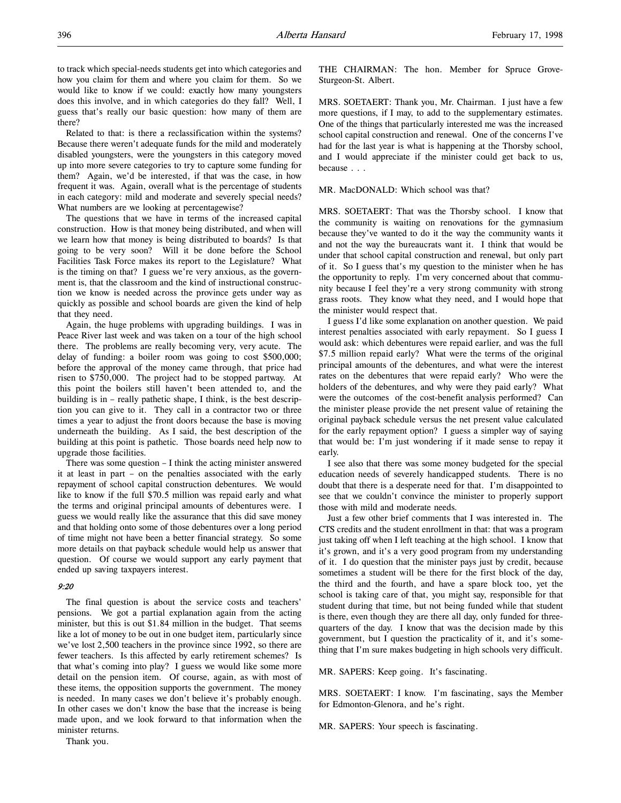Related to that: is there a reclassification within the systems? Because there weren't adequate funds for the mild and moderately disabled youngsters, were the youngsters in this category moved up into more severe categories to try to capture some funding for them? Again, we'd be interested, if that was the case, in how frequent it was. Again, overall what is the percentage of students in each category: mild and moderate and severely special needs? What numbers are we looking at percentagewise?

The questions that we have in terms of the increased capital construction. How is that money being distributed, and when will we learn how that money is being distributed to boards? Is that going to be very soon? Will it be done before the School Facilities Task Force makes its report to the Legislature? What is the timing on that? I guess we're very anxious, as the government is, that the classroom and the kind of instructional construction we know is needed across the province gets under way as quickly as possible and school boards are given the kind of help that they need.

Again, the huge problems with upgrading buildings. I was in Peace River last week and was taken on a tour of the high school there. The problems are really becoming very, very acute. The delay of funding: a boiler room was going to cost \$500,000; before the approval of the money came through, that price had risen to \$750,000. The project had to be stopped partway. At this point the boilers still haven't been attended to, and the building is in – really pathetic shape, I think, is the best description you can give to it. They call in a contractor two or three times a year to adjust the front doors because the base is moving underneath the building. As I said, the best description of the building at this point is pathetic. Those boards need help now to upgrade those facilities.

There was some question – I think the acting minister answered it at least in part – on the penalties associated with the early repayment of school capital construction debentures. We would like to know if the full \$70.5 million was repaid early and what the terms and original principal amounts of debentures were. I guess we would really like the assurance that this did save money and that holding onto some of those debentures over a long period of time might not have been a better financial strategy. So some more details on that payback schedule would help us answer that question. Of course we would support any early payment that ended up saving taxpayers interest.

# 9:20

The final question is about the service costs and teachers' pensions. We got a partial explanation again from the acting minister, but this is out \$1.84 million in the budget. That seems like a lot of money to be out in one budget item, particularly since we've lost 2,500 teachers in the province since 1992, so there are fewer teachers. Is this affected by early retirement schemes? Is that what's coming into play? I guess we would like some more detail on the pension item. Of course, again, as with most of these items, the opposition supports the government. The money is needed. In many cases we don't believe it's probably enough. In other cases we don't know the base that the increase is being made upon, and we look forward to that information when the minister returns.

Thank you.

THE CHAIRMAN: The hon. Member for Spruce Grove-Sturgeon-St. Albert.

MRS. SOETAERT: Thank you, Mr. Chairman. I just have a few more questions, if I may, to add to the supplementary estimates. One of the things that particularly interested me was the increased school capital construction and renewal. One of the concerns I've had for the last year is what is happening at the Thorsby school, and I would appreciate if the minister could get back to us, because . . .

### MR. MacDONALD: Which school was that?

MRS. SOETAERT: That was the Thorsby school. I know that the community is waiting on renovations for the gymnasium because they've wanted to do it the way the community wants it and not the way the bureaucrats want it. I think that would be under that school capital construction and renewal, but only part of it. So I guess that's my question to the minister when he has the opportunity to reply. I'm very concerned about that community because I feel they're a very strong community with strong grass roots. They know what they need, and I would hope that the minister would respect that.

I guess I'd like some explanation on another question. We paid interest penalties associated with early repayment. So I guess I would ask: which debentures were repaid earlier, and was the full \$7.5 million repaid early? What were the terms of the original principal amounts of the debentures, and what were the interest rates on the debentures that were repaid early? Who were the holders of the debentures, and why were they paid early? What were the outcomes of the cost-benefit analysis performed? Can the minister please provide the net present value of retaining the original payback schedule versus the net present value calculated for the early repayment option? I guess a simpler way of saying that would be: I'm just wondering if it made sense to repay it early.

I see also that there was some money budgeted for the special education needs of severely handicapped students. There is no doubt that there is a desperate need for that. I'm disappointed to see that we couldn't convince the minister to properly support those with mild and moderate needs.

Just a few other brief comments that I was interested in. The CTS credits and the student enrollment in that: that was a program just taking off when I left teaching at the high school. I know that it's grown, and it's a very good program from my understanding of it. I do question that the minister pays just by credit, because sometimes a student will be there for the first block of the day, the third and the fourth, and have a spare block too, yet the school is taking care of that, you might say, responsible for that student during that time, but not being funded while that student is there, even though they are there all day, only funded for threequarters of the day. I know that was the decision made by this government, but I question the practicality of it, and it's something that I'm sure makes budgeting in high schools very difficult.

MR. SAPERS: Keep going. It's fascinating.

MRS. SOETAERT: I know. I'm fascinating, says the Member for Edmonton-Glenora, and he's right.

MR. SAPERS: Your speech is fascinating.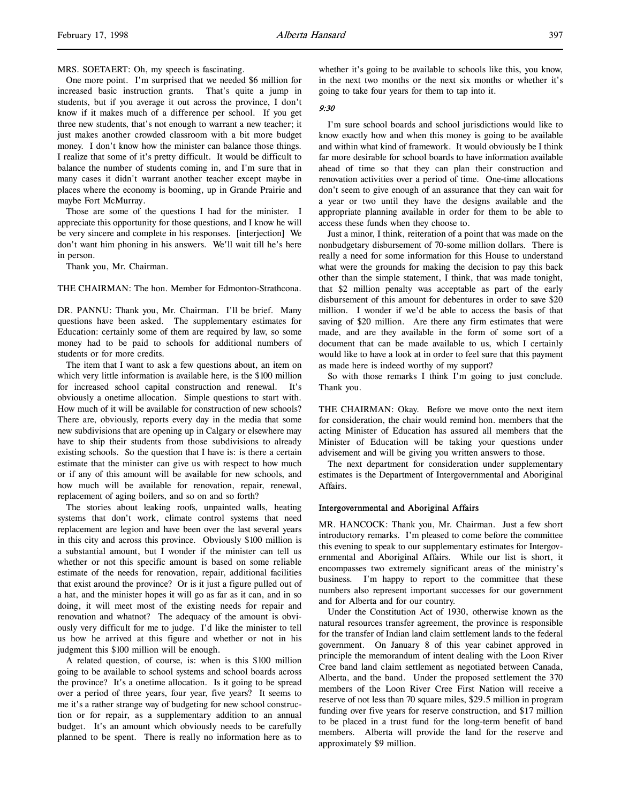One more point. I'm surprised that we needed \$6 million for increased basic instruction grants. That's quite a jump in students, but if you average it out across the province, I don't know if it makes much of a difference per school. If you get three new students, that's not enough to warrant a new teacher; it just makes another crowded classroom with a bit more budget money. I don't know how the minister can balance those things. I realize that some of it's pretty difficult. It would be difficult to balance the number of students coming in, and I'm sure that in many cases it didn't warrant another teacher except maybe in places where the economy is booming, up in Grande Prairie and maybe Fort McMurray.

Those are some of the questions I had for the minister. I appreciate this opportunity for those questions, and I know he will be very sincere and complete in his responses. [interjection] We don't want him phoning in his answers. We'll wait till he's here in person.

Thank you, Mr. Chairman.

THE CHAIRMAN: The hon. Member for Edmonton-Strathcona.

DR. PANNU: Thank you, Mr. Chairman. I'll be brief. Many questions have been asked. The supplementary estimates for Education: certainly some of them are required by law, so some money had to be paid to schools for additional numbers of students or for more credits.

The item that I want to ask a few questions about, an item on which very little information is available here, is the \$100 million for increased school capital construction and renewal. It's obviously a onetime allocation. Simple questions to start with. How much of it will be available for construction of new schools? There are, obviously, reports every day in the media that some new subdivisions that are opening up in Calgary or elsewhere may have to ship their students from those subdivisions to already existing schools. So the question that I have is: is there a certain estimate that the minister can give us with respect to how much or if any of this amount will be available for new schools, and how much will be available for renovation, repair, renewal, replacement of aging boilers, and so on and so forth?

The stories about leaking roofs, unpainted walls, heating systems that don't work, climate control systems that need replacement are legion and have been over the last several years in this city and across this province. Obviously \$100 million is a substantial amount, but I wonder if the minister can tell us whether or not this specific amount is based on some reliable estimate of the needs for renovation, repair, additional facilities that exist around the province? Or is it just a figure pulled out of a hat, and the minister hopes it will go as far as it can, and in so doing, it will meet most of the existing needs for repair and renovation and whatnot? The adequacy of the amount is obviously very difficult for me to judge. I'd like the minister to tell us how he arrived at this figure and whether or not in his judgment this \$100 million will be enough.

A related question, of course, is: when is this \$100 million going to be available to school systems and school boards across the province? It's a onetime allocation. Is it going to be spread over a period of three years, four year, five years? It seems to me it's a rather strange way of budgeting for new school construction or for repair, as a supplementary addition to an annual budget. It's an amount which obviously needs to be carefully planned to be spent. There is really no information here as to

whether it's going to be available to schools like this, you know, in the next two months or the next six months or whether it's going to take four years for them to tap into it.

#### 9:30

I'm sure school boards and school jurisdictions would like to know exactly how and when this money is going to be available and within what kind of framework. It would obviously be I think far more desirable for school boards to have information available ahead of time so that they can plan their construction and renovation activities over a period of time. One-time allocations don't seem to give enough of an assurance that they can wait for a year or two until they have the designs available and the appropriate planning available in order for them to be able to access these funds when they choose to.

Just a minor, I think, reiteration of a point that was made on the nonbudgetary disbursement of 70-some million dollars. There is really a need for some information for this House to understand what were the grounds for making the decision to pay this back other than the simple statement, I think, that was made tonight, that \$2 million penalty was acceptable as part of the early disbursement of this amount for debentures in order to save \$20 million. I wonder if we'd be able to access the basis of that saving of \$20 million. Are there any firm estimates that were made, and are they available in the form of some sort of a document that can be made available to us, which I certainly would like to have a look at in order to feel sure that this payment as made here is indeed worthy of my support?

So with those remarks I think I'm going to just conclude. Thank you.

THE CHAIRMAN: Okay. Before we move onto the next item for consideration, the chair would remind hon. members that the acting Minister of Education has assured all members that the Minister of Education will be taking your questions under advisement and will be giving you written answers to those.

The next department for consideration under supplementary estimates is the Department of Intergovernmental and Aboriginal Affairs.

### Intergovernmental and Aboriginal Affairs

MR. HANCOCK: Thank you, Mr. Chairman. Just a few short introductory remarks. I'm pleased to come before the committee this evening to speak to our supplementary estimates for Intergovernmental and Aboriginal Affairs. While our list is short, it encompasses two extremely significant areas of the ministry's business. I'm happy to report to the committee that these numbers also represent important successes for our government and for Alberta and for our country.

Under the Constitution Act of 1930, otherwise known as the natural resources transfer agreement, the province is responsible for the transfer of Indian land claim settlement lands to the federal government. On January 8 of this year cabinet approved in principle the memorandum of intent dealing with the Loon River Cree band land claim settlement as negotiated between Canada, Alberta, and the band. Under the proposed settlement the 370 members of the Loon River Cree First Nation will receive a reserve of not less than 70 square miles, \$29.5 million in program funding over five years for reserve construction, and \$17 million to be placed in a trust fund for the long-term benefit of band members. Alberta will provide the land for the reserve and approximately \$9 million.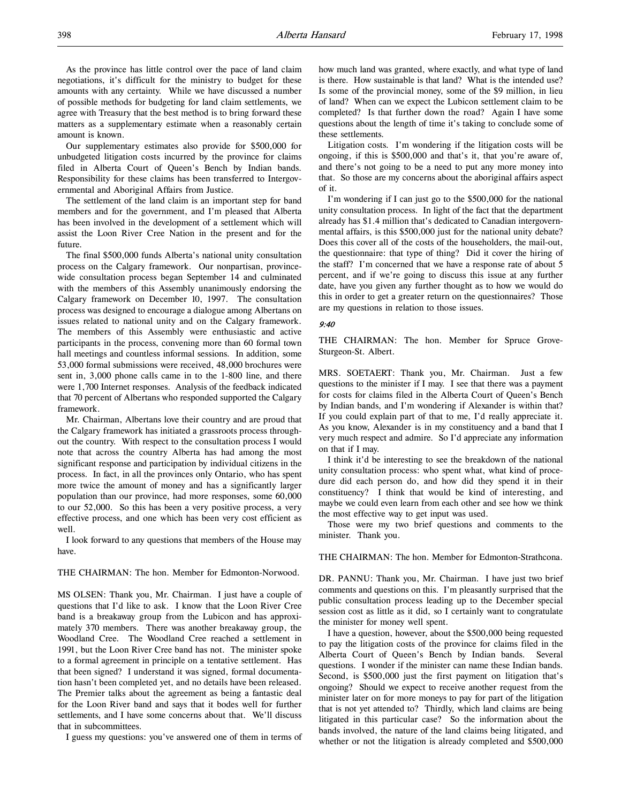As the province has little control over the pace of land claim negotiations, it's difficult for the ministry to budget for these amounts with any certainty. While we have discussed a number of possible methods for budgeting for land claim settlements, we agree with Treasury that the best method is to bring forward these matters as a supplementary estimate when a reasonably certain amount is known.

Our supplementary estimates also provide for \$500,000 for unbudgeted litigation costs incurred by the province for claims filed in Alberta Court of Queen's Bench by Indian bands. Responsibility for these claims has been transferred to Intergovernmental and Aboriginal Affairs from Justice.

The settlement of the land claim is an important step for band members and for the government, and I'm pleased that Alberta has been involved in the development of a settlement which will assist the Loon River Cree Nation in the present and for the future.

The final \$500,000 funds Alberta's national unity consultation process on the Calgary framework. Our nonpartisan, provincewide consultation process began September 14 and culminated with the members of this Assembly unanimously endorsing the Calgary framework on December 10, 1997. The consultation process was designed to encourage a dialogue among Albertans on issues related to national unity and on the Calgary framework. The members of this Assembly were enthusiastic and active participants in the process, convening more than 60 formal town hall meetings and countless informal sessions. In addition, some 53,000 formal submissions were received, 48,000 brochures were sent in, 3,000 phone calls came in to the 1-800 line, and there were 1,700 Internet responses. Analysis of the feedback indicated that 70 percent of Albertans who responded supported the Calgary framework.

Mr. Chairman, Albertans love their country and are proud that the Calgary framework has initiated a grassroots process throughout the country. With respect to the consultation process I would note that across the country Alberta has had among the most significant response and participation by individual citizens in the process. In fact, in all the provinces only Ontario, who has spent more twice the amount of money and has a significantly larger population than our province, had more responses, some 60,000 to our 52,000. So this has been a very positive process, a very effective process, and one which has been very cost efficient as well.

I look forward to any questions that members of the House may have.

# THE CHAIRMAN: The hon. Member for Edmonton-Norwood.

MS OLSEN: Thank you, Mr. Chairman. I just have a couple of questions that I'd like to ask. I know that the Loon River Cree band is a breakaway group from the Lubicon and has approximately 370 members. There was another breakaway group, the Woodland Cree. The Woodland Cree reached a settlement in 1991, but the Loon River Cree band has not. The minister spoke to a formal agreement in principle on a tentative settlement. Has that been signed? I understand it was signed, formal documentation hasn't been completed yet, and no details have been released. The Premier talks about the agreement as being a fantastic deal for the Loon River band and says that it bodes well for further settlements, and I have some concerns about that. We'll discuss that in subcommittees.

I guess my questions: you've answered one of them in terms of

how much land was granted, where exactly, and what type of land is there. How sustainable is that land? What is the intended use? Is some of the provincial money, some of the \$9 million, in lieu of land? When can we expect the Lubicon settlement claim to be completed? Is that further down the road? Again I have some questions about the length of time it's taking to conclude some of these settlements.

Litigation costs. I'm wondering if the litigation costs will be ongoing, if this is \$500,000 and that's it, that you're aware of, and there's not going to be a need to put any more money into that. So those are my concerns about the aboriginal affairs aspect of it.

I'm wondering if I can just go to the \$500,000 for the national unity consultation process. In light of the fact that the department already has \$1.4 million that's dedicated to Canadian intergovernmental affairs, is this \$500,000 just for the national unity debate? Does this cover all of the costs of the householders, the mail-out, the questionnaire: that type of thing? Did it cover the hiring of the staff? I'm concerned that we have a response rate of about 5 percent, and if we're going to discuss this issue at any further date, have you given any further thought as to how we would do this in order to get a greater return on the questionnaires? Those are my questions in relation to those issues.

#### 9:40

THE CHAIRMAN: The hon. Member for Spruce Grove-Sturgeon-St. Albert.

MRS. SOETAERT: Thank you, Mr. Chairman. Just a few questions to the minister if I may. I see that there was a payment for costs for claims filed in the Alberta Court of Queen's Bench by Indian bands, and I'm wondering if Alexander is within that? If you could explain part of that to me, I'd really appreciate it. As you know, Alexander is in my constituency and a band that I very much respect and admire. So I'd appreciate any information on that if I may.

I think it'd be interesting to see the breakdown of the national unity consultation process: who spent what, what kind of procedure did each person do, and how did they spend it in their constituency? I think that would be kind of interesting, and maybe we could even learn from each other and see how we think the most effective way to get input was used.

Those were my two brief questions and comments to the minister. Thank you.

# THE CHAIRMAN: The hon. Member for Edmonton-Strathcona.

DR. PANNU: Thank you, Mr. Chairman. I have just two brief comments and questions on this. I'm pleasantly surprised that the public consultation process leading up to the December special session cost as little as it did, so I certainly want to congratulate the minister for money well spent.

I have a question, however, about the \$500,000 being requested to pay the litigation costs of the province for claims filed in the Alberta Court of Queen's Bench by Indian bands. Several questions. I wonder if the minister can name these Indian bands. Second, is \$500,000 just the first payment on litigation that's ongoing? Should we expect to receive another request from the minister later on for more moneys to pay for part of the litigation that is not yet attended to? Thirdly, which land claims are being litigated in this particular case? So the information about the bands involved, the nature of the land claims being litigated, and whether or not the litigation is already completed and \$500,000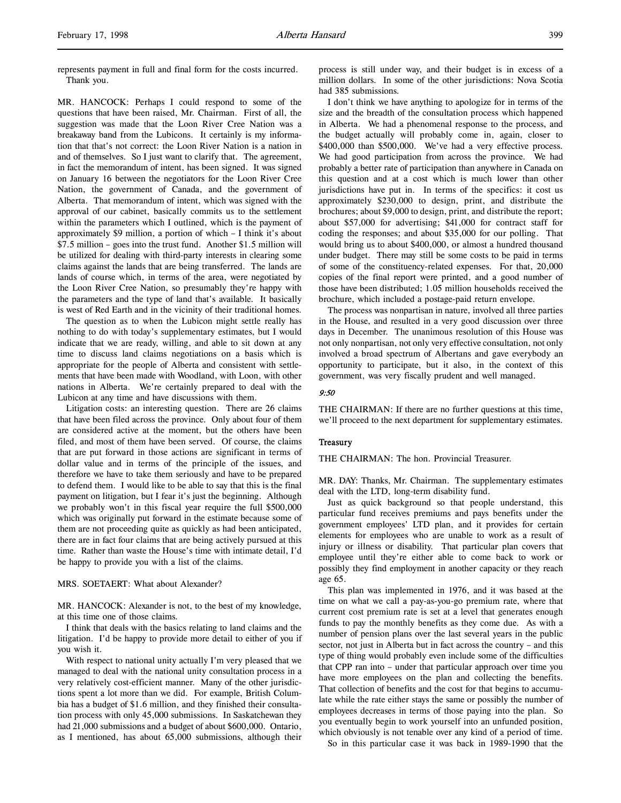represents payment in full and final form for the costs incurred. Thank you.

MR. HANCOCK: Perhaps I could respond to some of the questions that have been raised, Mr. Chairman. First of all, the suggestion was made that the Loon River Cree Nation was a breakaway band from the Lubicons. It certainly is my information that that's not correct: the Loon River Nation is a nation in and of themselves. So I just want to clarify that. The agreement, in fact the memorandum of intent, has been signed. It was signed on January 16 between the negotiators for the Loon River Cree Nation, the government of Canada, and the government of Alberta. That memorandum of intent, which was signed with the approval of our cabinet, basically commits us to the settlement within the parameters which I outlined, which is the payment of approximately \$9 million, a portion of which – I think it's about \$7.5 million – goes into the trust fund. Another \$1.5 million will be utilized for dealing with third-party interests in clearing some claims against the lands that are being transferred. The lands are lands of course which, in terms of the area, were negotiated by the Loon River Cree Nation, so presumably they're happy with the parameters and the type of land that's available. It basically is west of Red Earth and in the vicinity of their traditional homes.

The question as to when the Lubicon might settle really has nothing to do with today's supplementary estimates, but I would indicate that we are ready, willing, and able to sit down at any time to discuss land claims negotiations on a basis which is appropriate for the people of Alberta and consistent with settlements that have been made with Woodland, with Loon, with other nations in Alberta. We're certainly prepared to deal with the Lubicon at any time and have discussions with them.

Litigation costs: an interesting question. There are 26 claims that have been filed across the province. Only about four of them are considered active at the moment, but the others have been filed, and most of them have been served. Of course, the claims that are put forward in those actions are significant in terms of dollar value and in terms of the principle of the issues, and therefore we have to take them seriously and have to be prepared to defend them. I would like to be able to say that this is the final payment on litigation, but I fear it's just the beginning. Although we probably won't in this fiscal year require the full \$500,000 which was originally put forward in the estimate because some of them are not proceeding quite as quickly as had been anticipated, there are in fact four claims that are being actively pursued at this time. Rather than waste the House's time with intimate detail, I'd be happy to provide you with a list of the claims.

### MRS. SOETAERT: What about Alexander?

MR. HANCOCK: Alexander is not, to the best of my knowledge, at this time one of those claims.

I think that deals with the basics relating to land claims and the litigation. I'd be happy to provide more detail to either of you if you wish it.

With respect to national unity actually I'm very pleased that we managed to deal with the national unity consultation process in a very relatively cost-efficient manner. Many of the other jurisdictions spent a lot more than we did. For example, British Columbia has a budget of \$1.6 million, and they finished their consultation process with only 45,000 submissions. In Saskatchewan they had 21,000 submissions and a budget of about \$600,000. Ontario, as I mentioned, has about 65,000 submissions, although their

process is still under way, and their budget is in excess of a million dollars. In some of the other jurisdictions: Nova Scotia had 385 submissions.

I don't think we have anything to apologize for in terms of the size and the breadth of the consultation process which happened in Alberta. We had a phenomenal response to the process, and the budget actually will probably come in, again, closer to \$400,000 than \$500,000. We've had a very effective process. We had good participation from across the province. We had probably a better rate of participation than anywhere in Canada on this question and at a cost which is much lower than other jurisdictions have put in. In terms of the specifics: it cost us approximately \$230,000 to design, print, and distribute the brochures; about \$9,000 to design, print, and distribute the report; about \$57,000 for advertising; \$41,000 for contract staff for coding the responses; and about \$35,000 for our polling. That would bring us to about \$400,000, or almost a hundred thousand under budget. There may still be some costs to be paid in terms of some of the constituency-related expenses. For that, 20,000 copies of the final report were printed, and a good number of those have been distributed; 1.05 million households received the brochure, which included a postage-paid return envelope.

The process was nonpartisan in nature, involved all three parties in the House, and resulted in a very good discussion over three days in December. The unanimous resolution of this House was not only nonpartisan, not only very effective consultation, not only involved a broad spectrum of Albertans and gave everybody an opportunity to participate, but it also, in the context of this government, was very fiscally prudent and well managed.

### 9:50

THE CHAIRMAN: If there are no further questions at this time, we'll proceed to the next department for supplementary estimates.

### Treasury

THE CHAIRMAN: The hon. Provincial Treasurer.

MR. DAY: Thanks, Mr. Chairman. The supplementary estimates deal with the LTD, long-term disability fund.

Just as quick background so that people understand, this particular fund receives premiums and pays benefits under the government employees' LTD plan, and it provides for certain elements for employees who are unable to work as a result of injury or illness or disability. That particular plan covers that employee until they're either able to come back to work or possibly they find employment in another capacity or they reach age 65.

This plan was implemented in 1976, and it was based at the time on what we call a pay-as-you-go premium rate, where that current cost premium rate is set at a level that generates enough funds to pay the monthly benefits as they come due. As with a number of pension plans over the last several years in the public sector, not just in Alberta but in fact across the country – and this type of thing would probably even include some of the difficulties that CPP ran into – under that particular approach over time you have more employees on the plan and collecting the benefits. That collection of benefits and the cost for that begins to accumulate while the rate either stays the same or possibly the number of employees decreases in terms of those paying into the plan. So you eventually begin to work yourself into an unfunded position, which obviously is not tenable over any kind of a period of time.

So in this particular case it was back in 1989-1990 that the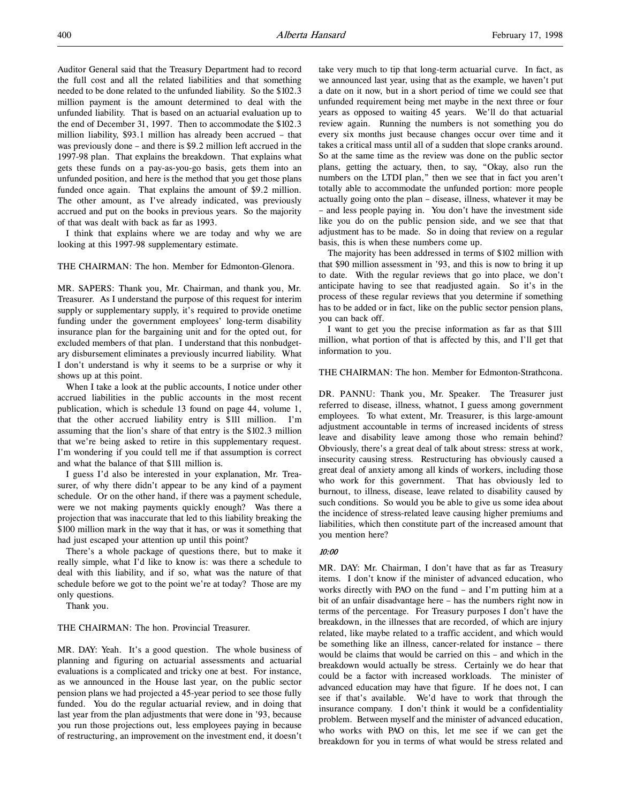Auditor General said that the Treasury Department had to record the full cost and all the related liabilities and that something needed to be done related to the unfunded liability. So the \$102.3 million payment is the amount determined to deal with the unfunded liability. That is based on an actuarial evaluation up to the end of December 31, 1997. Then to accommodate the \$102.3 million liability, \$93.1 million has already been accrued – that was previously done – and there is \$9.2 million left accrued in the 1997-98 plan. That explains the breakdown. That explains what gets these funds on a pay-as-you-go basis, gets them into an unfunded position, and here is the method that you get those plans funded once again. That explains the amount of \$9.2 million. The other amount, as I've already indicated, was previously accrued and put on the books in previous years. So the majority of that was dealt with back as far as 1993.

I think that explains where we are today and why we are looking at this 1997-98 supplementary estimate.

## THE CHAIRMAN: The hon. Member for Edmonton-Glenora.

MR. SAPERS: Thank you, Mr. Chairman, and thank you, Mr. Treasurer. As I understand the purpose of this request for interim supply or supplementary supply, it's required to provide onetime funding under the government employees' long-term disability insurance plan for the bargaining unit and for the opted out, for excluded members of that plan. I understand that this nonbudgetary disbursement eliminates a previously incurred liability. What I don't understand is why it seems to be a surprise or why it shows up at this point.

When I take a look at the public accounts, I notice under other accrued liabilities in the public accounts in the most recent publication, which is schedule 13 found on page 44, volume 1, that the other accrued liability entry is \$111 million. I'm assuming that the lion's share of that entry is the \$102.3 million that we're being asked to retire in this supplementary request. I'm wondering if you could tell me if that assumption is correct and what the balance of that \$111 million is.

I guess I'd also be interested in your explanation, Mr. Treasurer, of why there didn't appear to be any kind of a payment schedule. Or on the other hand, if there was a payment schedule, were we not making payments quickly enough? Was there a projection that was inaccurate that led to this liability breaking the \$100 million mark in the way that it has, or was it something that had just escaped your attention up until this point?

There's a whole package of questions there, but to make it really simple, what I'd like to know is: was there a schedule to deal with this liability, and if so, what was the nature of that schedule before we got to the point we're at today? Those are my only questions.

Thank you.

## THE CHAIRMAN: The hon. Provincial Treasurer.

MR. DAY: Yeah. It's a good question. The whole business of planning and figuring on actuarial assessments and actuarial evaluations is a complicated and tricky one at best. For instance, as we announced in the House last year, on the public sector pension plans we had projected a 45-year period to see those fully funded. You do the regular actuarial review, and in doing that last year from the plan adjustments that were done in '93, because you run those projections out, less employees paying in because of restructuring, an improvement on the investment end, it doesn't take very much to tip that long-term actuarial curve. In fact, as we announced last year, using that as the example, we haven't put a date on it now, but in a short period of time we could see that unfunded requirement being met maybe in the next three or four years as opposed to waiting 45 years. We'll do that actuarial review again. Running the numbers is not something you do every six months just because changes occur over time and it takes a critical mass until all of a sudden that slope cranks around. So at the same time as the review was done on the public sector plans, getting the actuary, then, to say, "Okay, also run the numbers on the LTDI plan," then we see that in fact you aren't totally able to accommodate the unfunded portion: more people actually going onto the plan – disease, illness, whatever it may be – and less people paying in. You don't have the investment side like you do on the public pension side, and we see that that adjustment has to be made. So in doing that review on a regular basis, this is when these numbers come up.

The majority has been addressed in terms of \$102 million with that \$90 million assessment in '93, and this is now to bring it up to date. With the regular reviews that go into place, we don't anticipate having to see that readjusted again. So it's in the process of these regular reviews that you determine if something has to be added or in fact, like on the public sector pension plans, you can back off.

I want to get you the precise information as far as that \$111 million, what portion of that is affected by this, and I'll get that information to you.

## THE CHAIRMAN: The hon. Member for Edmonton-Strathcona.

DR. PANNU: Thank you, Mr. Speaker. The Treasurer just referred to disease, illness, whatnot, I guess among government employees. To what extent, Mr. Treasurer, is this large-amount adjustment accountable in terms of increased incidents of stress leave and disability leave among those who remain behind? Obviously, there's a great deal of talk about stress: stress at work, insecurity causing stress. Restructuring has obviously caused a great deal of anxiety among all kinds of workers, including those who work for this government. That has obviously led to burnout, to illness, disease, leave related to disability caused by such conditions. So would you be able to give us some idea about the incidence of stress-related leave causing higher premiums and liabilities, which then constitute part of the increased amount that you mention here?

# 10:00

MR. DAY: Mr. Chairman, I don't have that as far as Treasury items. I don't know if the minister of advanced education, who works directly with PAO on the fund – and I'm putting him at a bit of an unfair disadvantage here – has the numbers right now in terms of the percentage. For Treasury purposes I don't have the breakdown, in the illnesses that are recorded, of which are injury related, like maybe related to a traffic accident, and which would be something like an illness, cancer-related for instance – there would be claims that would be carried on this – and which in the breakdown would actually be stress. Certainly we do hear that could be a factor with increased workloads. The minister of advanced education may have that figure. If he does not, I can see if that's available. We'd have to work that through the insurance company. I don't think it would be a confidentiality problem. Between myself and the minister of advanced education, who works with PAO on this, let me see if we can get the breakdown for you in terms of what would be stress related and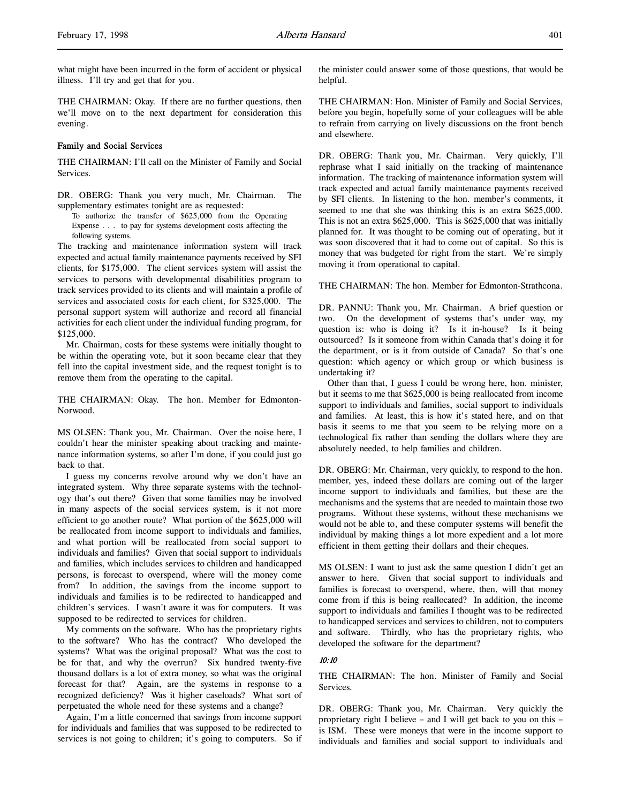what might have been incurred in the form of accident or physical illness. I'll try and get that for you.

THE CHAIRMAN: Okay. If there are no further questions, then we'll move on to the next department for consideration this evening.

# Family and Social Services

THE CHAIRMAN: I'll call on the Minister of Family and Social Services.

DR. OBERG: Thank you very much, Mr. Chairman. The supplementary estimates tonight are as requested:

To authorize the transfer of \$625,000 from the Operating Expense . . . to pay for systems development costs affecting the following systems.

The tracking and maintenance information system will track expected and actual family maintenance payments received by SFI clients, for \$175,000. The client services system will assist the services to persons with developmental disabilities program to track services provided to its clients and will maintain a profile of services and associated costs for each client, for \$325,000. The personal support system will authorize and record all financial activities for each client under the individual funding program, for \$125,000.

Mr. Chairman, costs for these systems were initially thought to be within the operating vote, but it soon became clear that they fell into the capital investment side, and the request tonight is to remove them from the operating to the capital.

THE CHAIRMAN: Okay. The hon. Member for Edmonton-Norwood.

MS OLSEN: Thank you, Mr. Chairman. Over the noise here, I couldn't hear the minister speaking about tracking and maintenance information systems, so after I'm done, if you could just go back to that.

I guess my concerns revolve around why we don't have an integrated system. Why three separate systems with the technology that's out there? Given that some families may be involved in many aspects of the social services system, is it not more efficient to go another route? What portion of the \$625,000 will be reallocated from income support to individuals and families, and what portion will be reallocated from social support to individuals and families? Given that social support to individuals and families, which includes services to children and handicapped persons, is forecast to overspend, where will the money come from? In addition, the savings from the income support to individuals and families is to be redirected to handicapped and children's services. I wasn't aware it was for computers. It was supposed to be redirected to services for children.

My comments on the software. Who has the proprietary rights to the software? Who has the contract? Who developed the systems? What was the original proposal? What was the cost to be for that, and why the overrun? Six hundred twenty-five thousand dollars is a lot of extra money, so what was the original forecast for that? Again, are the systems in response to a recognized deficiency? Was it higher caseloads? What sort of perpetuated the whole need for these systems and a change?

Again, I'm a little concerned that savings from income support for individuals and families that was supposed to be redirected to services is not going to children; it's going to computers. So if the minister could answer some of those questions, that would be helpful.

THE CHAIRMAN: Hon. Minister of Family and Social Services, before you begin, hopefully some of your colleagues will be able to refrain from carrying on lively discussions on the front bench and elsewhere.

DR. OBERG: Thank you, Mr. Chairman. Very quickly, I'll rephrase what I said initially on the tracking of maintenance information. The tracking of maintenance information system will track expected and actual family maintenance payments received by SFI clients. In listening to the hon. member's comments, it seemed to me that she was thinking this is an extra \$625,000. This is not an extra \$625,000. This is \$625,000 that was initially planned for. It was thought to be coming out of operating, but it was soon discovered that it had to come out of capital. So this is money that was budgeted for right from the start. We're simply moving it from operational to capital.

THE CHAIRMAN: The hon. Member for Edmonton-Strathcona.

DR. PANNU: Thank you, Mr. Chairman. A brief question or two. On the development of systems that's under way, my question is: who is doing it? Is it in-house? Is it being outsourced? Is it someone from within Canada that's doing it for the department, or is it from outside of Canada? So that's one question: which agency or which group or which business is undertaking it?

Other than that, I guess I could be wrong here, hon. minister, but it seems to me that \$625,000 is being reallocated from income support to individuals and families, social support to individuals and families. At least, this is how it's stated here, and on that basis it seems to me that you seem to be relying more on a technological fix rather than sending the dollars where they are absolutely needed, to help families and children.

DR. OBERG: Mr. Chairman, very quickly, to respond to the hon. member, yes, indeed these dollars are coming out of the larger income support to individuals and families, but these are the mechanisms and the systems that are needed to maintain those two programs. Without these systems, without these mechanisms we would not be able to, and these computer systems will benefit the individual by making things a lot more expedient and a lot more efficient in them getting their dollars and their cheques.

MS OLSEN: I want to just ask the same question I didn't get an answer to here. Given that social support to individuals and families is forecast to overspend, where, then, will that money come from if this is being reallocated? In addition, the income support to individuals and families I thought was to be redirected to handicapped services and services to children, not to computers and software. Thirdly, who has the proprietary rights, who developed the software for the department?

### 10:10

THE CHAIRMAN: The hon. Minister of Family and Social Services.

DR. OBERG: Thank you, Mr. Chairman. Very quickly the proprietary right I believe – and I will get back to you on this – is ISM. These were moneys that were in the income support to individuals and families and social support to individuals and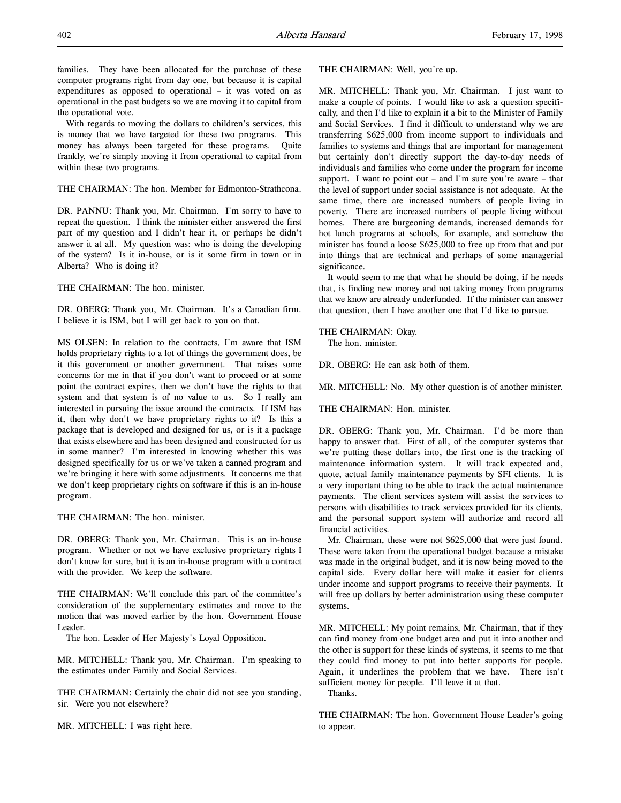families. They have been allocated for the purchase of these computer programs right from day one, but because it is capital expenditures as opposed to operational – it was voted on as operational in the past budgets so we are moving it to capital from the operational vote.

With regards to moving the dollars to children's services, this is money that we have targeted for these two programs. This money has always been targeted for these programs. Quite frankly, we're simply moving it from operational to capital from within these two programs.

THE CHAIRMAN: The hon. Member for Edmonton-Strathcona.

DR. PANNU: Thank you, Mr. Chairman. I'm sorry to have to repeat the question. I think the minister either answered the first part of my question and I didn't hear it, or perhaps he didn't answer it at all. My question was: who is doing the developing of the system? Is it in-house, or is it some firm in town or in Alberta? Who is doing it?

THE CHAIRMAN: The hon. minister.

DR. OBERG: Thank you, Mr. Chairman. It's a Canadian firm. I believe it is ISM, but I will get back to you on that.

MS OLSEN: In relation to the contracts, I'm aware that ISM holds proprietary rights to a lot of things the government does, be it this government or another government. That raises some concerns for me in that if you don't want to proceed or at some point the contract expires, then we don't have the rights to that system and that system is of no value to us. So I really am interested in pursuing the issue around the contracts. If ISM has it, then why don't we have proprietary rights to it? Is this a package that is developed and designed for us, or is it a package that exists elsewhere and has been designed and constructed for us in some manner? I'm interested in knowing whether this was designed specifically for us or we've taken a canned program and we're bringing it here with some adjustments. It concerns me that we don't keep proprietary rights on software if this is an in-house program.

THE CHAIRMAN: The hon. minister.

DR. OBERG: Thank you, Mr. Chairman. This is an in-house program. Whether or not we have exclusive proprietary rights I don't know for sure, but it is an in-house program with a contract with the provider. We keep the software.

THE CHAIRMAN: We'll conclude this part of the committee's consideration of the supplementary estimates and move to the motion that was moved earlier by the hon. Government House Leader.

The hon. Leader of Her Majesty's Loyal Opposition.

MR. MITCHELL: Thank you, Mr. Chairman. I'm speaking to the estimates under Family and Social Services.

THE CHAIRMAN: Certainly the chair did not see you standing, sir. Were you not elsewhere?

MR. MITCHELL: I was right here.

THE CHAIRMAN: Well, you're up.

MR. MITCHELL: Thank you, Mr. Chairman. I just want to make a couple of points. I would like to ask a question specifically, and then I'd like to explain it a bit to the Minister of Family and Social Services. I find it difficult to understand why we are transferring \$625,000 from income support to individuals and families to systems and things that are important for management but certainly don't directly support the day-to-day needs of individuals and families who come under the program for income support. I want to point out – and I'm sure you're aware – that the level of support under social assistance is not adequate. At the same time, there are increased numbers of people living in poverty. There are increased numbers of people living without homes. There are burgeoning demands, increased demands for hot lunch programs at schools, for example, and somehow the minister has found a loose \$625,000 to free up from that and put into things that are technical and perhaps of some managerial significance.

It would seem to me that what he should be doing, if he needs that, is finding new money and not taking money from programs that we know are already underfunded. If the minister can answer that question, then I have another one that I'd like to pursue.

THE CHAIRMAN: Okay.

The hon. minister.

DR. OBERG: He can ask both of them.

MR. MITCHELL: No. My other question is of another minister.

THE CHAIRMAN: Hon. minister.

DR. OBERG: Thank you, Mr. Chairman. I'd be more than happy to answer that. First of all, of the computer systems that we're putting these dollars into, the first one is the tracking of maintenance information system. It will track expected and, quote, actual family maintenance payments by SFI clients. It is a very important thing to be able to track the actual maintenance payments. The client services system will assist the services to persons with disabilities to track services provided for its clients, and the personal support system will authorize and record all financial activities.

Mr. Chairman, these were not \$625,000 that were just found. These were taken from the operational budget because a mistake was made in the original budget, and it is now being moved to the capital side. Every dollar here will make it easier for clients under income and support programs to receive their payments. It will free up dollars by better administration using these computer systems.

MR. MITCHELL: My point remains, Mr. Chairman, that if they can find money from one budget area and put it into another and the other is support for these kinds of systems, it seems to me that they could find money to put into better supports for people. Again, it underlines the problem that we have. There isn't sufficient money for people. I'll leave it at that.

Thanks.

THE CHAIRMAN: The hon. Government House Leader's going to appear.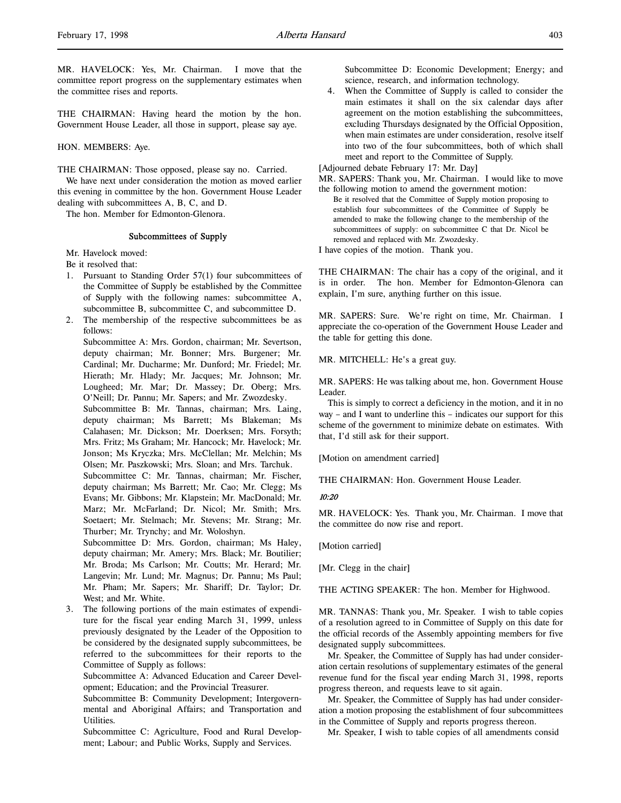THE CHAIRMAN: Having heard the motion by the hon. Government House Leader, all those in support, please say aye.

HON. MEMBERS: Aye.

THE CHAIRMAN: Those opposed, please say no. Carried. We have next under consideration the motion as moved earlier this evening in committee by the hon. Government House Leader dealing with subcommittees A, B, C, and D.

The hon. Member for Edmonton-Glenora.

# Subcommittees of Supply

Mr. Havelock moved:

Be it resolved that:

- 1. Pursuant to Standing Order 57(1) four subcommittees of the Committee of Supply be established by the Committee of Supply with the following names: subcommittee A, subcommittee B, subcommittee C, and subcommittee D.
- 2. The membership of the respective subcommittees be as follows:

Subcommittee A: Mrs. Gordon, chairman; Mr. Severtson, deputy chairman; Mr. Bonner; Mrs. Burgener; Mr. Cardinal; Mr. Ducharme; Mr. Dunford; Mr. Friedel; Mr. Hierath; Mr. Hlady; Mr. Jacques; Mr. Johnson; Mr. Lougheed; Mr. Mar; Dr. Massey; Dr. Oberg; Mrs. O'Neill; Dr. Pannu; Mr. Sapers; and Mr. Zwozdesky.

Subcommittee B: Mr. Tannas, chairman; Mrs. Laing, deputy chairman; Ms Barrett; Ms Blakeman; Ms Calahasen; Mr. Dickson; Mr. Doerksen; Mrs. Forsyth; Mrs. Fritz; Ms Graham; Mr. Hancock; Mr. Havelock; Mr. Jonson; Ms Kryczka; Mrs. McClellan; Mr. Melchin; Ms Olsen; Mr. Paszkowski; Mrs. Sloan; and Mrs. Tarchuk.

Subcommittee C: Mr. Tannas, chairman; Mr. Fischer, deputy chairman; Ms Barrett; Mr. Cao; Mr. Clegg; Ms Evans; Mr. Gibbons; Mr. Klapstein; Mr. MacDonald; Mr. Marz; Mr. McFarland; Dr. Nicol; Mr. Smith; Mrs. Soetaert; Mr. Stelmach; Mr. Stevens; Mr. Strang; Mr. Thurber; Mr. Trynchy; and Mr. Woloshyn.

Subcommittee D: Mrs. Gordon, chairman; Ms Haley, deputy chairman; Mr. Amery; Mrs. Black; Mr. Boutilier; Mr. Broda; Ms Carlson; Mr. Coutts; Mr. Herard; Mr. Langevin; Mr. Lund; Mr. Magnus; Dr. Pannu; Ms Paul; Mr. Pham; Mr. Sapers; Mr. Shariff; Dr. Taylor; Dr. West; and Mr. White.

3. The following portions of the main estimates of expenditure for the fiscal year ending March 31, 1999, unless previously designated by the Leader of the Opposition to be considered by the designated supply subcommittees, be referred to the subcommittees for their reports to the Committee of Supply as follows:

Subcommittee A: Advanced Education and Career Development; Education; and the Provincial Treasurer.

Subcommittee B: Community Development; Intergovernmental and Aboriginal Affairs; and Transportation and Utilities.

Subcommittee C: Agriculture, Food and Rural Development; Labour; and Public Works, Supply and Services.

Subcommittee D: Economic Development; Energy; and science, research, and information technology.

4. When the Committee of Supply is called to consider the main estimates it shall on the six calendar days after agreement on the motion establishing the subcommittees, excluding Thursdays designated by the Official Opposition, when main estimates are under consideration, resolve itself into two of the four subcommittees, both of which shall meet and report to the Committee of Supply.

[Adjourned debate February 17: Mr. Day]

MR. SAPERS: Thank you, Mr. Chairman. I would like to move the following motion to amend the government motion:

Be it resolved that the Committee of Supply motion proposing to establish four subcommittees of the Committee of Supply be amended to make the following change to the membership of the subcommittees of supply: on subcommittee C that Dr. Nicol be removed and replaced with Mr. Zwozdesky.

I have copies of the motion. Thank you.

THE CHAIRMAN: The chair has a copy of the original, and it is in order. The hon. Member for Edmonton-Glenora can explain, I'm sure, anything further on this issue.

MR. SAPERS: Sure. We're right on time, Mr. Chairman. I appreciate the co-operation of the Government House Leader and the table for getting this done.

MR. MITCHELL: He's a great guy.

MR. SAPERS: He was talking about me, hon. Government House Leader.

This is simply to correct a deficiency in the motion, and it in no way – and I want to underline this – indicates our support for this scheme of the government to minimize debate on estimates. With that, I'd still ask for their support.

[Motion on amendment carried]

THE CHAIRMAN: Hon. Government House Leader.

### 10:20

MR. HAVELOCK: Yes. Thank you, Mr. Chairman. I move that the committee do now rise and report.

[Motion carried]

[Mr. Clegg in the chair]

THE ACTING SPEAKER: The hon. Member for Highwood.

MR. TANNAS: Thank you, Mr. Speaker. I wish to table copies of a resolution agreed to in Committee of Supply on this date for the official records of the Assembly appointing members for five designated supply subcommittees.

Mr. Speaker, the Committee of Supply has had under consideration certain resolutions of supplementary estimates of the general revenue fund for the fiscal year ending March 31, 1998, reports progress thereon, and requests leave to sit again.

Mr. Speaker, the Committee of Supply has had under consideration a motion proposing the establishment of four subcommittees in the Committee of Supply and reports progress thereon.

Mr. Speaker, I wish to table copies of all amendments consid